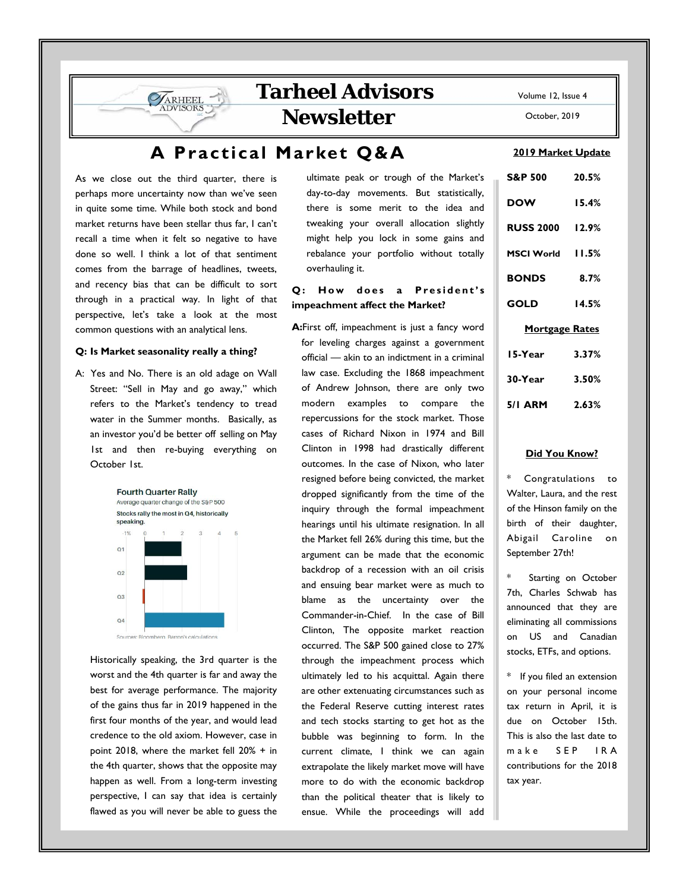# **Tarheel Advisors**

**Newsletter** 

# **A Practical Market Q&A**

As we close out the third quarter, there is perhaps more uncertainty now than we've seen in quite some time. While both stock and bond market returns have been stellar thus far, I can't recall a time when it felt so negative to have done so well. I think a lot of that sentiment comes from the barrage of headlines, tweets, and recency bias that can be difficult to sort through in a practical way. In light of that perspective, let's take a look at the most common questions with an analytical lens.

ARHEEL

#### **Q: Is Market seasonality really a thing?**

A: Yes and No. There is an old adage on Wall Street: "Sell in May and go away," which refers to the Market's tendency to tread water in the Summer months. Basically, as an investor you'd be better off selling on May 1st and then re-buying everything on October 1st.



 Historically speaking, the 3rd quarter is the worst and the 4th quarter is far and away the best for average performance. The majority of the gains thus far in 2019 happened in the first four months of the year, and would lead credence to the old axiom. However, case in point 2018, where the market fell 20% + in the 4th quarter, shows that the opposite may happen as well. From a long-term investing perspective, I can say that idea is certainly flawed as you will never be able to guess the

ultimate peak or trough of the Market's day-to-day movements. But statistically, there is some merit to the idea and tweaking your overall allocation slightly might help you lock in some gains and rebalance your portfolio without totally overhauling it.

#### Q: How does a President's **impeachment affect the Market?**

**A:**First off, impeachment is just a fancy word for leveling charges against a government official — akin to an indictment in a criminal law case. Excluding the 1868 impeachment of Andrew Johnson, there are only two modern examples to compare the repercussions for the stock market. Those cases of Richard Nixon in 1974 and Bill Clinton in 1998 had drastically different outcomes. In the case of Nixon, who later resigned before being convicted, the market dropped significantly from the time of the inquiry through the formal impeachment hearings until his ultimate resignation. In all the Market fell 26% during this time, but the argument can be made that the economic backdrop of a recession with an oil crisis and ensuing bear market were as much to blame as the uncertainty over the Commander-in-Chief. In the case of Bill Clinton, The opposite market reaction occurred. The S&P 500 gained close to 27% through the impeachment process which ultimately led to his acquittal. Again there are other extenuating circumstances such as the Federal Reserve cutting interest rates and tech stocks starting to get hot as the bubble was beginning to form. In the current climate, I think we can again extrapolate the likely market move will have more to do with the economic backdrop than the political theater that is likely to ensue. While the proceedings will add Volume 12, Issue 4

October, 2019

#### **2019 Market Update**

| <b>S&amp;P 500</b>     | 20.5% |
|------------------------|-------|
| <b>DOW</b>             | 15.4% |
| <b>RUSS 2000 12.9%</b> |       |
| MSCI World 11.5%       |       |
| <b>BONDS</b>           | 8.7%  |
| <b>GOLD</b>            | 14.5% |
| <b>Mortgage Rates</b>  |       |
| 15-Year                | 3.37% |
| 30-Year                | 3.50% |
| <b>5/1 ARM</b>         | 2.63% |

#### **Did You Know?**

Congratulations to Walter, Laura, and the rest of the Hinson family on the birth of their daughter, Abigail Caroline on September 27th!

Starting on October 7th, Charles Schwab has announced that they are eliminating all commissions on US and Canadian stocks, ETFs, and options.

\* If you filed an extension on your personal income tax return in April, it is due on October 15th. This is also the last date to make SEP IRA contributions for the 2018 tax year.